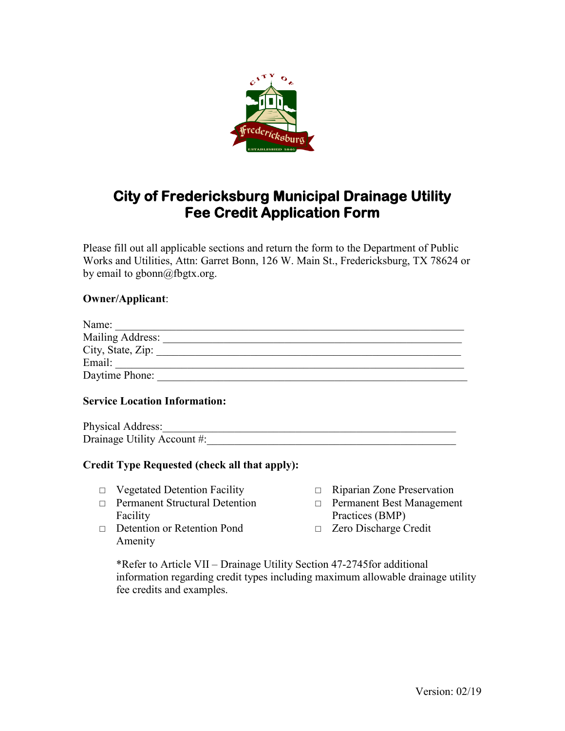

# **City of Fredericksburg Municipal Drainage Utility Fee Credit Application Form**

Please fill out all applicable sections and return the form to the Department of Public Works and Utilities, Attn: Garret Bonn, 126 W. Main St., Fredericksburg, TX 78624 or by email to gbonn@fbgtx.org.

### **Owner/Applicant**:

| Name:             |  |
|-------------------|--|
| Mailing Address:  |  |
| City, State, Zip: |  |
| Email:            |  |
| Daytime Phone:    |  |
|                   |  |

#### **Service Location Information:**

Physical Address: Drainage Utility Account #:

#### **Credit Type Requested (check all that apply):**

- □ Vegetated Detention Facility
- □ Permanent Structural Detention Facility
- □ Detention or Retention Pond Amenity
- □ Riparian Zone Preservation
- □ Permanent Best Management Practices (BMP)
- □ Zero Discharge Credit

\*Refer to Article VII – Drainage Utility Section 47-2745for additional information regarding credit types including maximum allowable drainage utility fee credits and examples.